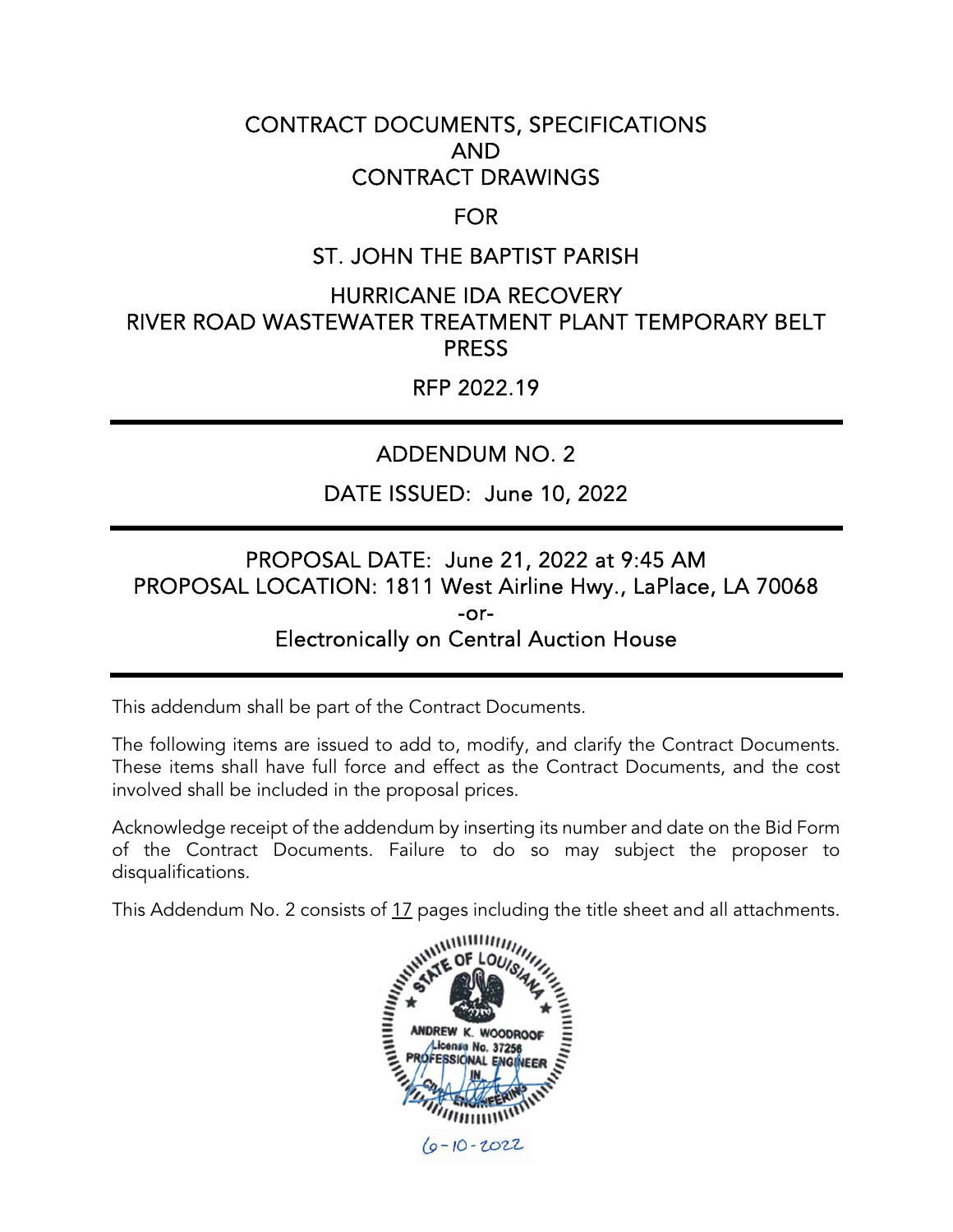## CONTRACT DOCUMENTS, SPECIFICATIONS AND CONTRACT DRAWINGS

## FOR

## ST. JOHN THE BAPTIST PARISH

HURRICANE IDA RECOVERY RIVER ROAD WASTEWATER TREATMENT PLANT TEMPORARY BELT PRESS

RFP 2022.19

# ADDENDUM NO. 2

# DATE ISSUED: June 10, 2022

# PROPOSAL DATE: June 21, 2022 at 9:45 AM PROPOSAL LOCATION: 1811 West Airline Hwy., LaPlace, LA 70068 -or-

# Electronically on Central Auction House

This addendum shall be part of the Contract Documents.

The following items are issued to add to, modify, and clarify the Contract Documents. These items shall have full force and effect as the Contract Documents, and the cost involved shall be included in the proposal prices.

Acknowledge receipt of the addendum by inserting its number and date on the Bid Form of the Contract Documents. Failure to do so may subject the proposer to disqualifications.

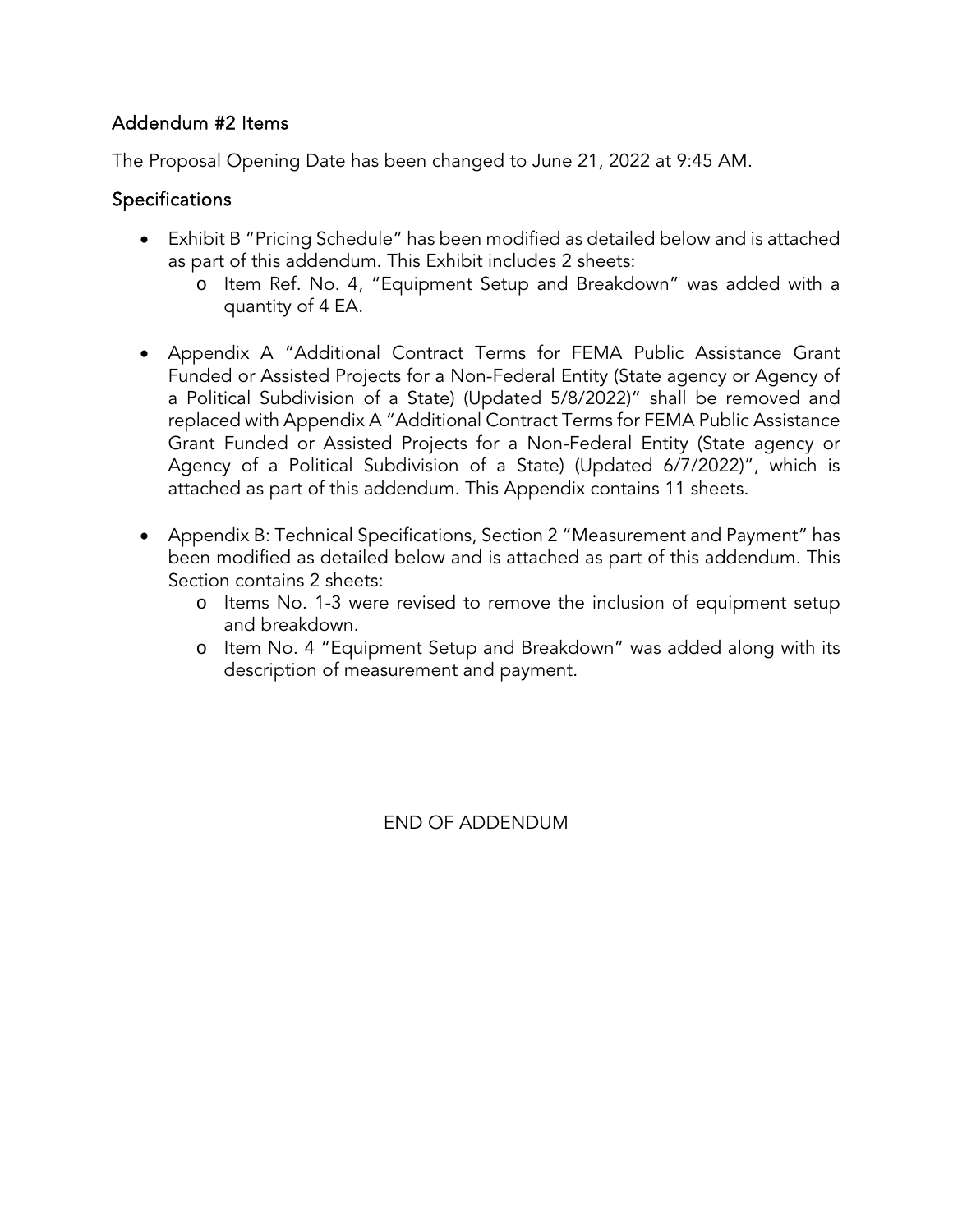## Addendum #2 Items

The Proposal Opening Date has been changed to June 21, 2022 at 9:45 AM.

## Specifications

- Exhibit B "Pricing Schedule" has been modified as detailed below and is attached as part of this addendum. This Exhibit includes 2 sheets:
	- o Item Ref. No. 4, "Equipment Setup and Breakdown" was added with a quantity of 4 EA.
- Appendix A "Additional Contract Terms for FEMA Public Assistance Grant Funded or Assisted Projects for a Non-Federal Entity (State agency or Agency of a Political Subdivision of a State) (Updated 5/8/2022)" shall be removed and replaced with Appendix A "Additional Contract Terms for FEMA Public Assistance Grant Funded or Assisted Projects for a Non-Federal Entity (State agency or Agency of a Political Subdivision of a State) (Updated 6/7/2022)", which is attached as part of this addendum. This Appendix contains 11 sheets.
- Appendix B: Technical Specifications, Section 2 "Measurement and Payment" has been modified as detailed below and is attached as part of this addendum. This Section contains 2 sheets:
	- o Items No. 1-3 were revised to remove the inclusion of equipment setup and breakdown.
	- o Item No. 4 "Equipment Setup and Breakdown" was added along with its description of measurement and payment.

END OF ADDENDUM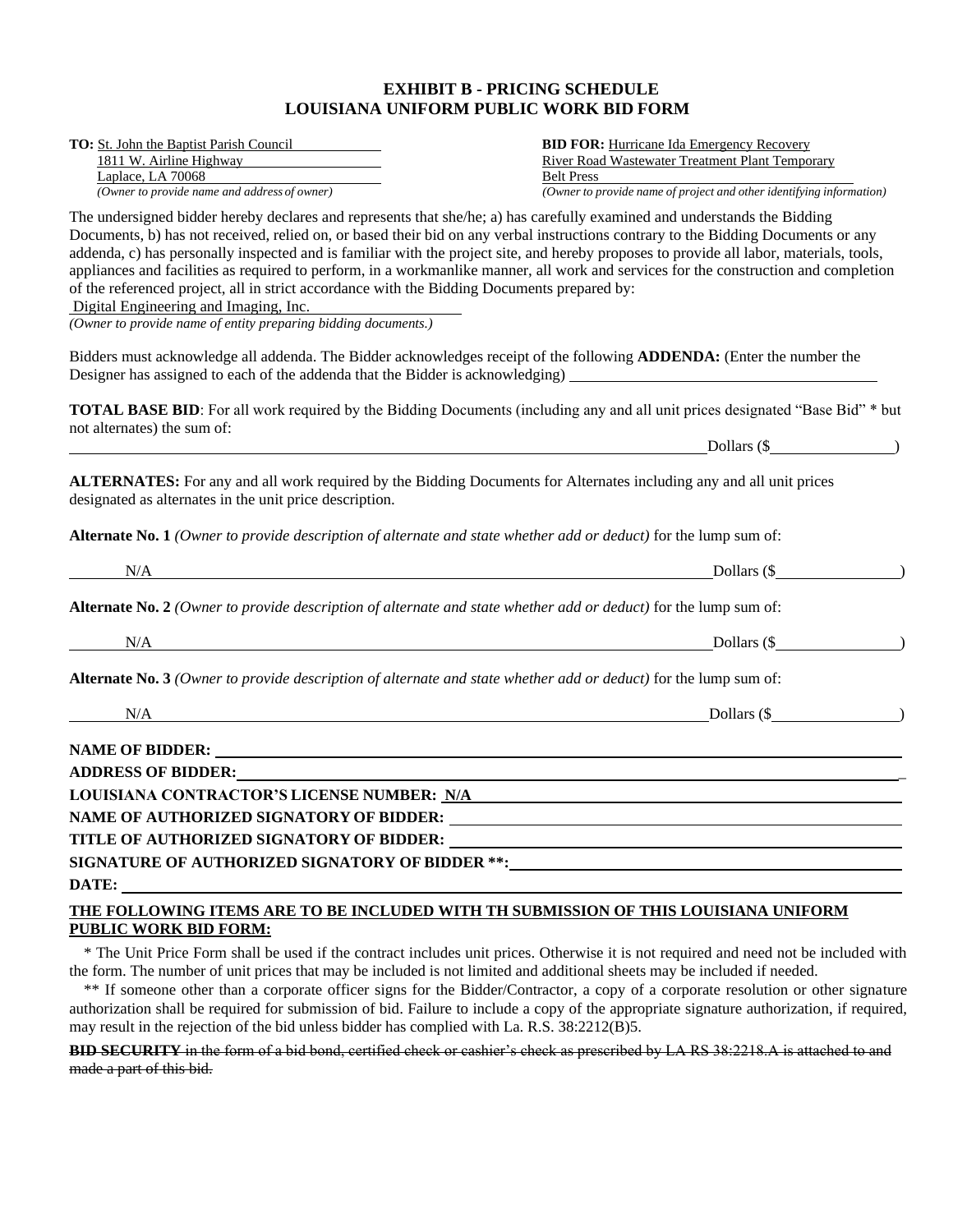#### **EXHIBIT B - PRICING SCHEDULE LOUISIANA UNIFORM PUBLIC WORK BID FORM**

**TO:** St. John the Baptist Parish Council **BID FOR: Hurricane Ida Emergency Recovery** Laplace, LA 70068 Belt Press<br>
(Owner to provide name and address of owner) Belt Press<br>
(Owner to provide name and address of owner)

1811 W. Airline Highway Niver Road Wastewater Treatment Plant Temporary *(Owner to provide name and address of owner) (Owner to provide name of project and other identifying information)*

Dollars (\$

The undersigned bidder hereby declares and represents that she/he; a) has carefully examined and understands the Bidding Documents, b) has not received, relied on, or based their bid on any verbal instructions contrary to the Bidding Documents or any addenda, c) has personally inspected and is familiar with the project site, and hereby proposes to provide all labor, materials, tools, appliances and facilities as required to perform, in a workmanlike manner, all work and services for the construction and completion of the referenced project, all in strict accordance with the Bidding Documents prepared by:

Digital Engineering and Imaging, Inc.

*(Owner to provide name of entity preparing bidding documents.)*

Bidders must acknowledge all addenda. The Bidder acknowledges receipt of the following **ADDENDA:** (Enter the number the Designer has assigned to each of the addenda that the Bidder is acknowledging)

**TOTAL BASE BID**: For all work required by the Bidding Documents (including any and all unit prices designated "Base Bid" \* but not alternates) the sum of:

**ALTERNATES:** For any and all work required by the Bidding Documents for Alternates including any and all unit prices designated as alternates in the unit price description.

**Alternate No. 1** *(Owner to provide description of alternate and state whether add or deduct)* for the lump sum of:

| N/A                                               | Dollars $(\$$                                                                                                                                                                                                                  |  |
|---------------------------------------------------|--------------------------------------------------------------------------------------------------------------------------------------------------------------------------------------------------------------------------------|--|
|                                                   | <b>Alternate No. 2</b> (Owner to provide description of alternate and state whether add or deduct) for the lump sum of:                                                                                                        |  |
| N/A                                               | Dollars $(\$$                                                                                                                                                                                                                  |  |
|                                                   | <b>Alternate No. 3</b> (Owner to provide description of alternate and state whether add or deduct) for the lump sum of:                                                                                                        |  |
| N/A                                               | Dollars $(\$                                                                                                                                                                                                                   |  |
|                                                   |                                                                                                                                                                                                                                |  |
|                                                   | ADDRESS OF BIDDER: North and the second service of the service of the service of the service of the service of the service of the service of the service of the service of the service of the service of the service of the se |  |
| <b>LOUISIANA CONTRACTOR'S LICENSE NUMBER: N/A</b> |                                                                                                                                                                                                                                |  |
|                                                   |                                                                                                                                                                                                                                |  |
|                                                   |                                                                                                                                                                                                                                |  |
| SIGNATURE OF AUTHORIZED SIGNATORY OF BIDDER **:   | <u> 1980 - Jan Samuel Barbara, margaret eta idazlea (h. 1980).</u>                                                                                                                                                             |  |
| DATE.                                             |                                                                                                                                                                                                                                |  |

**DATE:**

#### **THE FOLLOWING ITEMS ARE TO BE INCLUDED WITH TH SUBMISSION OF THIS LOUISIANA UNIFORM PUBLIC WORK BID FORM:**

\* The Unit Price Form shall be used if the contract includes unit prices. Otherwise it is not required and need not be included with the form. The number of unit prices that may be included is not limited and additional sheets may be included if needed.

\*\* If someone other than a corporate officer signs for the Bidder/Contractor, a copy of a corporate resolution or other signature authorization shall be required for submission of bid. Failure to include a copy of the appropriate signature authorization, if required, may result in the rejection of the bid unless bidder has complied with La. R.S. 38:2212(B)5.

**BID SECURITY** in the form of a bid bond, certified check or cashier's check as prescribed by LA RS 38:2218.A is attached to and made a part of this bid.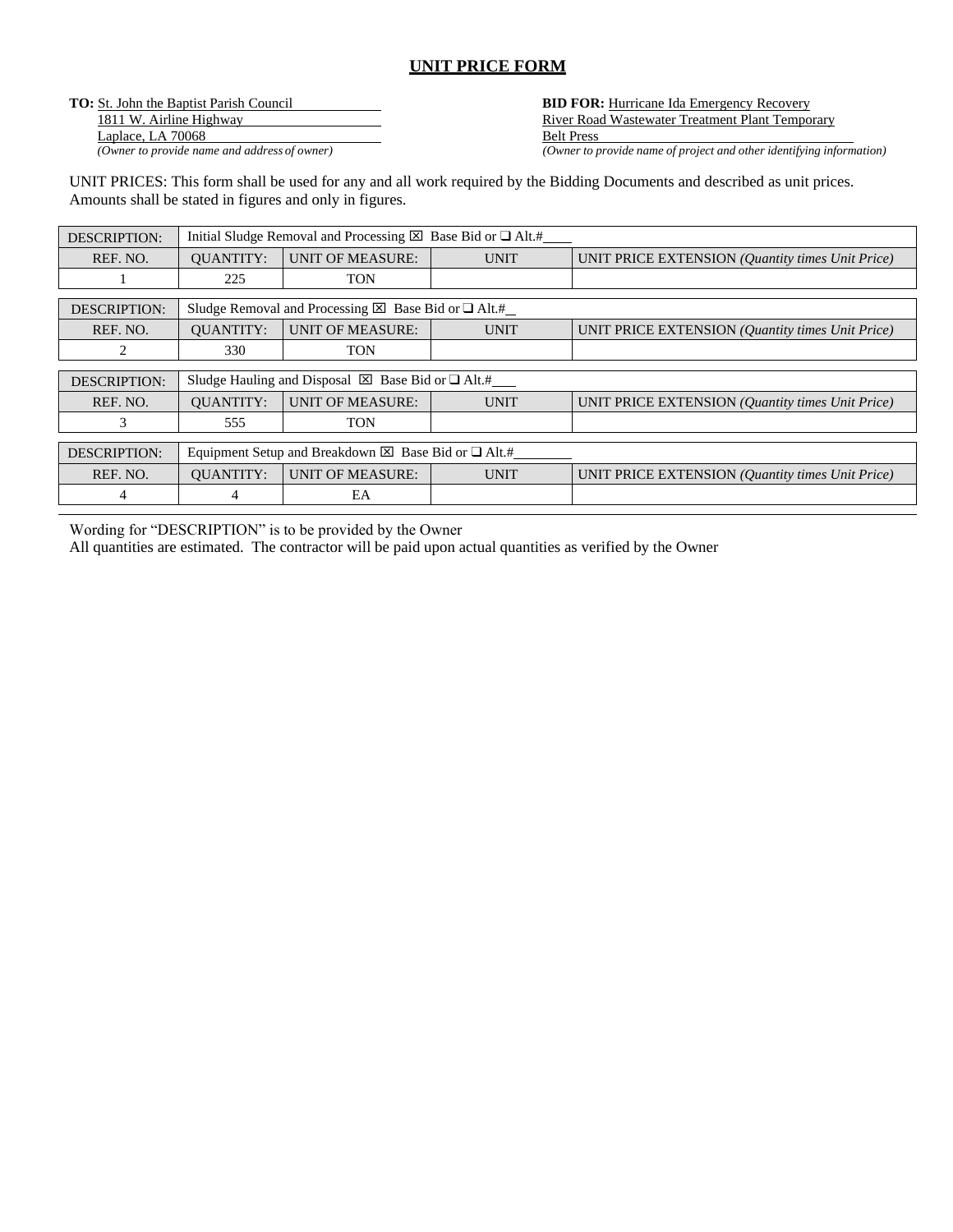#### **UNIT PRICE FORM**

**TO:** <u>St. John the Baptist Parish Council</u> **BID FOR:** Hurricane Ida Emergency Recovery **BID FOR:** Hurricane Ida Emergency Recovery **River Road Wastewater Treatment Plant Tempo** Laplace, LA 70068 Belt Press

River Road Wastewater Treatment Plant Temporary

*(Owner to provide name and address of owner) (Owner to provide name of project and other identifying information)*

UNIT PRICES: This form shall be used for any and all work required by the Bidding Documents and described as unit prices. Amounts shall be stated in figures and only in figures.

| <b>DESCRIPTION:</b> | Initial Sludge Removal and Processing $\boxtimes$ Base Bid or $\Box$ Alt.# |                         |             |                                                  |  |  |
|---------------------|----------------------------------------------------------------------------|-------------------------|-------------|--------------------------------------------------|--|--|
| REF. NO.            | <b>OUANTITY:</b>                                                           | <b>UNIT OF MEASURE:</b> | <b>UNIT</b> | UNIT PRICE EXTENSION (Quantity times Unit Price) |  |  |
|                     | 225                                                                        | <b>TON</b>              |             |                                                  |  |  |
|                     |                                                                            |                         |             |                                                  |  |  |
| <b>DESCRIPTION:</b> | Sludge Removal and Processing $\boxtimes$ Base Bid or $\Box$ Alt.#         |                         |             |                                                  |  |  |
| REF. NO.            | <b>OUANTITY:</b>                                                           | <b>UNIT OF MEASURE:</b> | <b>UNIT</b> | UNIT PRICE EXTENSION (Quantity times Unit Price) |  |  |
|                     | 330                                                                        | <b>TON</b>              |             |                                                  |  |  |
|                     |                                                                            |                         |             |                                                  |  |  |
| <b>DESCRIPTION:</b> | Sludge Hauling and Disposal $\boxtimes$ Base Bid or $\Box$ Alt.#           |                         |             |                                                  |  |  |
| REF. NO.            | <b>OUANTITY:</b>                                                           | <b>UNIT OF MEASURE:</b> | <b>UNIT</b> | UNIT PRICE EXTENSION (Quantity times Unit Price) |  |  |
|                     | 555                                                                        | <b>TON</b>              |             |                                                  |  |  |
|                     |                                                                            |                         |             |                                                  |  |  |
| <b>DESCRIPTION:</b> | Equipment Setup and Breakdown $\boxtimes$ Base Bid or $\Box$ Alt.#         |                         |             |                                                  |  |  |
| REF. NO.            | <b>OUANTITY:</b>                                                           | <b>UNIT OF MEASURE:</b> | <b>UNIT</b> | UNIT PRICE EXTENSION (Quantity times Unit Price) |  |  |
|                     |                                                                            | EA                      |             |                                                  |  |  |

Wording for "DESCRIPTION" is to be provided by the Owner

All quantities are estimated. The contractor will be paid upon actual quantities as verified by the Owner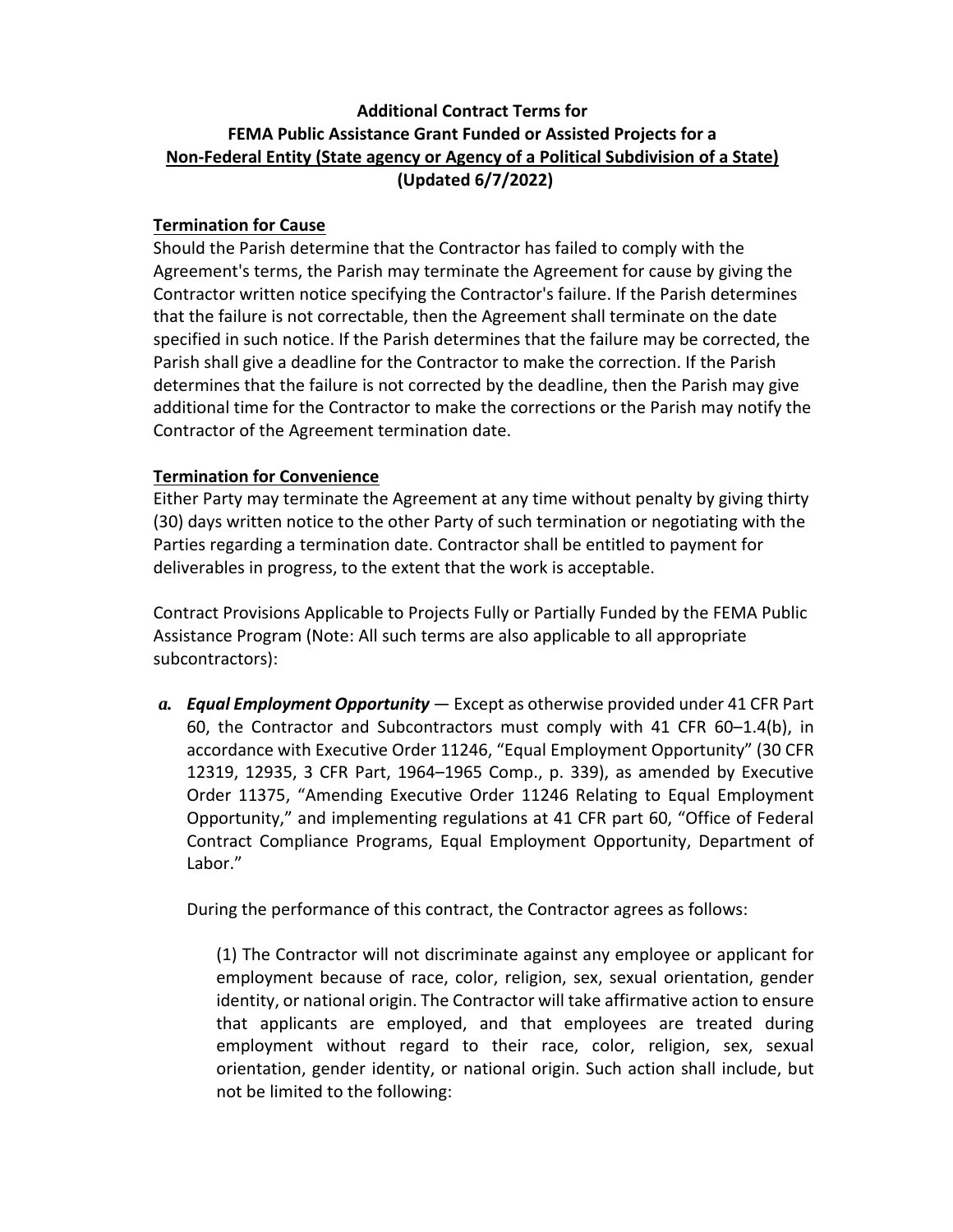## **Additional Contract Terms for FEMA Public Assistance Grant Funded or Assisted Projects for a Non-Federal Entity (State agency or Agency of a Political Subdivision of a State) (Updated 6/7/2022)**

### **Termination for Cause**

Should the Parish determine that the Contractor has failed to comply with the Agreement's terms, the Parish may terminate the Agreement for cause by giving the Contractor written notice specifying the Contractor's failure. If the Parish determines that the failure is not correctable, then the Agreement shall terminate on the date specified in such notice. If the Parish determines that the failure may be corrected, the Parish shall give a deadline for the Contractor to make the correction. If the Parish determines that the failure is not corrected by the deadline, then the Parish may give additional time for the Contractor to make the corrections or the Parish may notify the Contractor of the Agreement termination date.

### **Termination for Convenience**

Either Party may terminate the Agreement at any time without penalty by giving thirty (30) days written notice to the other Party of such termination or negotiating with the Parties regarding a termination date. Contractor shall be entitled to payment for deliverables in progress, to the extent that the work is acceptable.

Contract Provisions Applicable to Projects Fully or Partially Funded by the FEMA Public Assistance Program (Note: All such terms are also applicable to all appropriate subcontractors):

*a. Equal Employment Opportunity* — Except as otherwise provided under 41 CFR Part 60, the Contractor and Subcontractors must comply with 41 CFR 60–1.4(b), in accordance with Executive Order 11246, "Equal Employment Opportunity" (30 CFR 12319, 12935, 3 CFR Part, 1964–1965 Comp., p. 339), as amended by Executive Order 11375, "Amending Executive Order 11246 Relating to Equal Employment Opportunity," and implementing regulations at 41 CFR part 60, "Office of Federal Contract Compliance Programs, Equal Employment Opportunity, Department of Labor."

During the performance of this contract, the Contractor agrees as follows:

(1) The Contractor will not discriminate against any employee or applicant for employment because of race, color, religion, sex, sexual orientation, gender identity, or national origin. The Contractor will take affirmative action to ensure that applicants are employed, and that employees are treated during employment without regard to their race, color, religion, sex, sexual orientation, gender identity, or national origin. Such action shall include, but not be limited to the following: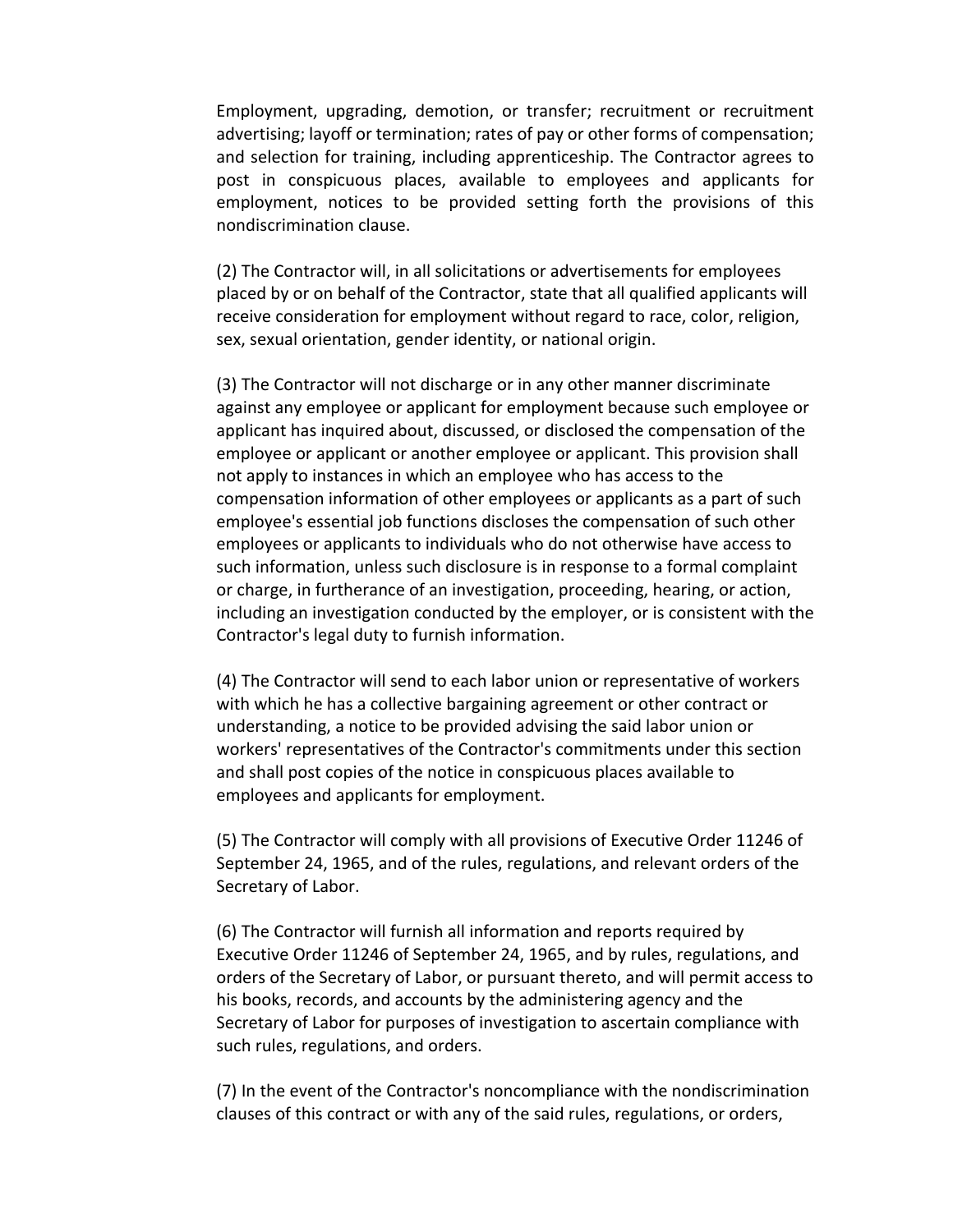Employment, upgrading, demotion, or transfer; recruitment or recruitment advertising; layoff or termination; rates of pay or other forms of compensation; and selection for training, including apprenticeship. The Contractor agrees to post in conspicuous places, available to employees and applicants for employment, notices to be provided setting forth the provisions of this nondiscrimination clause.

(2) The Contractor will, in all solicitations or advertisements for employees placed by or on behalf of the Contractor, state that all qualified applicants will receive consideration for employment without regard to race, color, religion, sex, sexual orientation, gender identity, or national origin.

(3) The Contractor will not discharge or in any other manner discriminate against any employee or applicant for employment because such employee or applicant has inquired about, discussed, or disclosed the compensation of the employee or applicant or another employee or applicant. This provision shall not apply to instances in which an employee who has access to the compensation information of other employees or applicants as a part of such employee's essential job functions discloses the compensation of such other employees or applicants to individuals who do not otherwise have access to such information, unless such disclosure is in response to a formal complaint or charge, in furtherance of an investigation, proceeding, hearing, or action, including an investigation conducted by the employer, or is consistent with the Contractor's legal duty to furnish information.

(4) The Contractor will send to each labor union or representative of workers with which he has a collective bargaining agreement or other contract or understanding, a notice to be provided advising the said labor union or workers' representatives of the Contractor's commitments under this section and shall post copies of the notice in conspicuous places available to employees and applicants for employment.

(5) The Contractor will comply with all provisions of Executive Order 11246 of September 24, 1965, and of the rules, regulations, and relevant orders of the Secretary of Labor.

(6) The Contractor will furnish all information and reports required by Executive Order 11246 of September 24, 1965, and by rules, regulations, and orders of the Secretary of Labor, or pursuant thereto, and will permit access to his books, records, and accounts by the administering agency and the Secretary of Labor for purposes of investigation to ascertain compliance with such rules, regulations, and orders.

(7) In the event of the Contractor's noncompliance with the nondiscrimination clauses of this contract or with any of the said rules, regulations, or orders,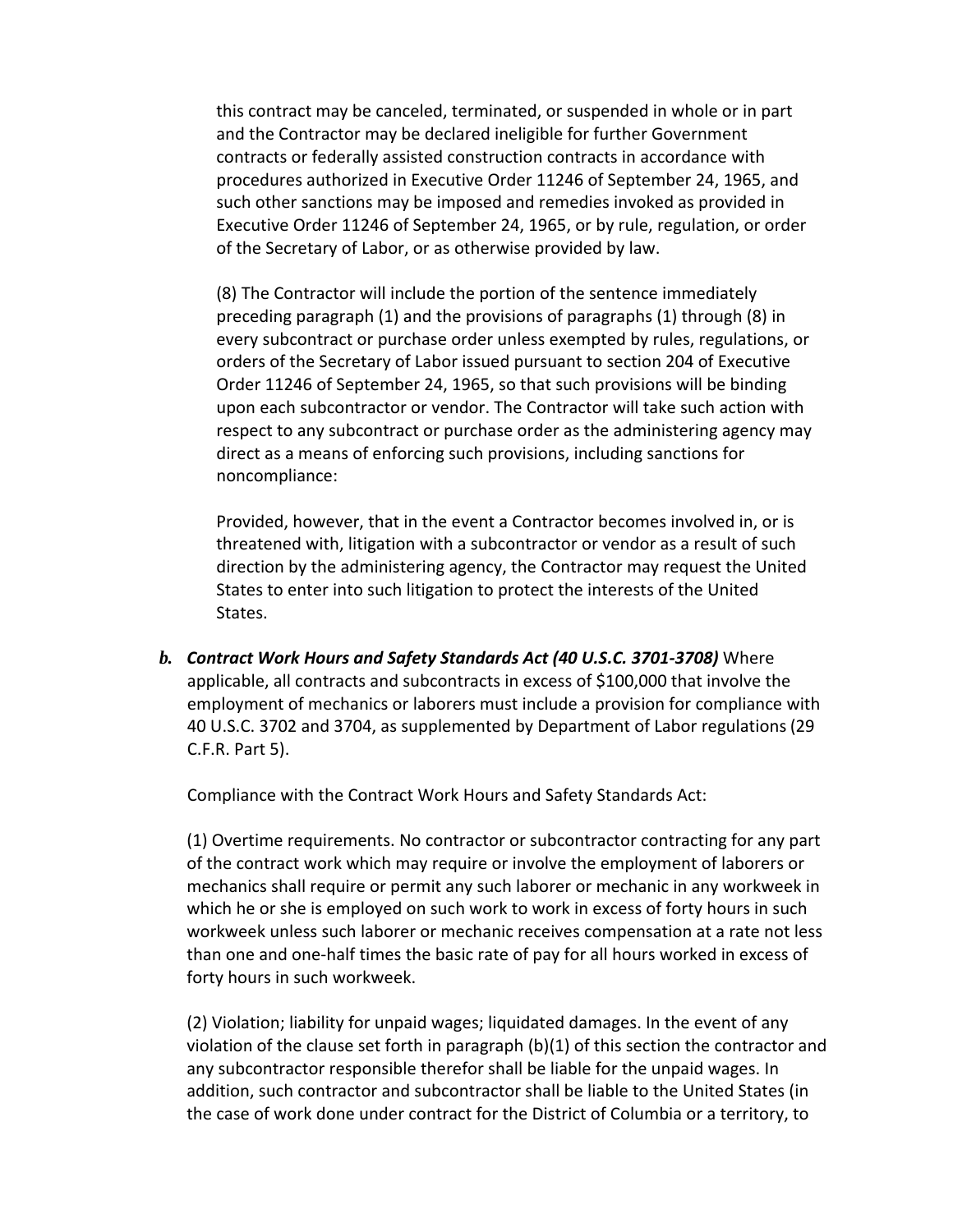this contract may be canceled, terminated, or suspended in whole or in part and the Contractor may be declared ineligible for further Government contracts or federally assisted construction contracts in accordance with procedures authorized in Executive Order 11246 of September 24, 1965, and such other sanctions may be imposed and remedies invoked as provided in Executive Order 11246 of September 24, 1965, or by rule, regulation, or order of the Secretary of Labor, or as otherwise provided by law.

(8) The Contractor will include the portion of the sentence immediately preceding paragraph (1) and the provisions of paragraphs (1) through (8) in every subcontract or purchase order unless exempted by rules, regulations, or orders of the Secretary of Labor issued pursuant to section 204 of Executive Order 11246 of September 24, 1965, so that such provisions will be binding upon each subcontractor or vendor. The Contractor will take such action with respect to any subcontract or purchase order as the administering agency may direct as a means of enforcing such provisions, including sanctions for noncompliance:

Provided, however, that in the event a Contractor becomes involved in, or is threatened with, litigation with a subcontractor or vendor as a result of such direction by the administering agency, the Contractor may request the United States to enter into such litigation to protect the interests of the United States.

*b. Contract Work Hours and Safety Standards Act (40 U.S.C. 3701-3708)* Where applicable, all contracts and subcontracts in excess of \$100,000 that involve the employment of mechanics or laborers must include a provision for compliance with 40 U.S.C. 3702 and 3704, as supplemented by Department of Labor regulations(29 C.F.R. Part 5).

Compliance with the Contract Work Hours and Safety Standards Act:

(1) Overtime requirements. No contractor or subcontractor contracting for any part of the contract work which may require or involve the employment of laborers or mechanics shall require or permit any such laborer or mechanic in any workweek in which he or she is employed on such work to work in excess of forty hours in such workweek unless such laborer or mechanic receives compensation at a rate not less than one and one-half times the basic rate of pay for all hours worked in excess of forty hours in such workweek.

(2) Violation; liability for unpaid wages; liquidated damages. In the event of any violation of the clause set forth in paragraph (b)(1) of this section the contractor and any subcontractor responsible therefor shall be liable for the unpaid wages. In addition, such contractor and subcontractor shall be liable to the United States (in the case of work done under contract for the District of Columbia or a territory, to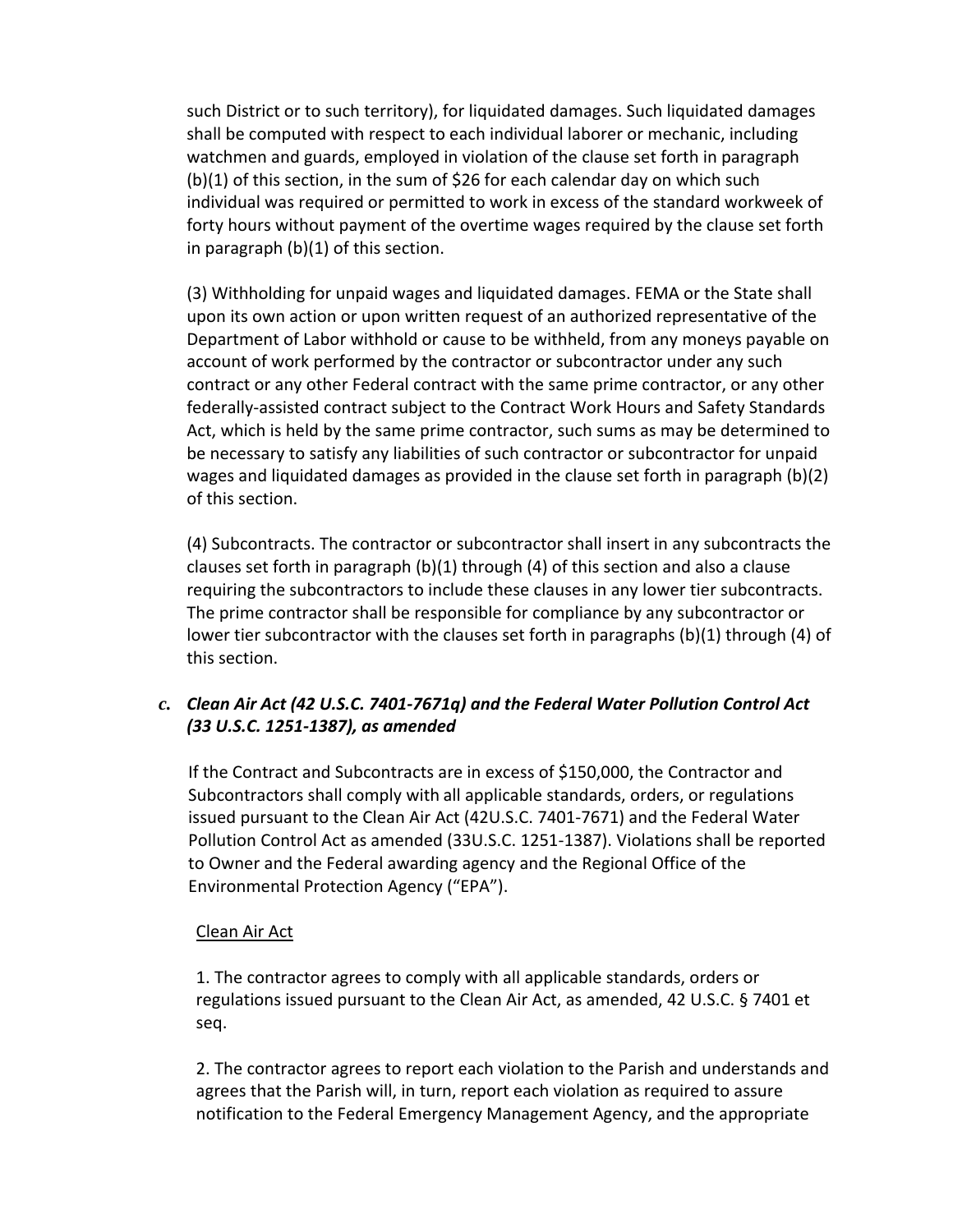such District or to such territory), for liquidated damages. Such liquidated damages shall be computed with respect to each individual laborer or mechanic, including watchmen and guards, employed in violation of the clause set forth in paragraph (b)(1) of this section, in the sum of \$26 for each calendar day on which such individual was required or permitted to work in excess of the standard workweek of forty hours without payment of the overtime wages required by the clause set forth in paragraph (b)(1) of this section.

(3) Withholding for unpaid wages and liquidated damages. FEMA or the State shall upon its own action or upon written request of an authorized representative of the Department of Labor withhold or cause to be withheld, from any moneys payable on account of work performed by the contractor or subcontractor under any such contract or any other Federal contract with the same prime contractor, or any other federally-assisted contract subject to the Contract Work Hours and Safety Standards Act, which is held by the same prime contractor, such sums as may be determined to be necessary to satisfy any liabilities of such contractor or subcontractor for unpaid wages and liquidated damages as provided in the clause set forth in paragraph (b)(2) of this section.

(4) Subcontracts. The contractor or subcontractor shall insert in any subcontracts the clauses set forth in paragraph (b)(1) through (4) of this section and also a clause requiring the subcontractors to include these clauses in any lower tier subcontracts. The prime contractor shall be responsible for compliance by any subcontractor or lower tier subcontractor with the clauses set forth in paragraphs (b)(1) through (4) of this section.

## *c. Clean Air Act (42 U.S.C. 7401-7671q) and the Federal Water Pollution Control Act (33 U.S.C. 1251-1387), as amended*

If the Contract and Subcontracts are in excess of \$150,000, the Contractor and Subcontractors shall comply with all applicable standards, orders, or regulations issued pursuant to the Clean Air Act (42U.S.C. 7401-7671) and the Federal Water Pollution Control Act as amended (33U.S.C. 1251-1387). Violations shall be reported to Owner and the Federal awarding agency and the Regional Office of the Environmental Protection Agency ("EPA").

#### Clean Air Act

1. The contractor agrees to comply with all applicable standards, orders or regulations issued pursuant to the Clean Air Act, as amended, 42 U.S.C. § 7401 et seq.

2. The contractor agrees to report each violation to the Parish and understands and agrees that the Parish will, in turn, report each violation as required to assure notification to the Federal Emergency Management Agency, and the appropriate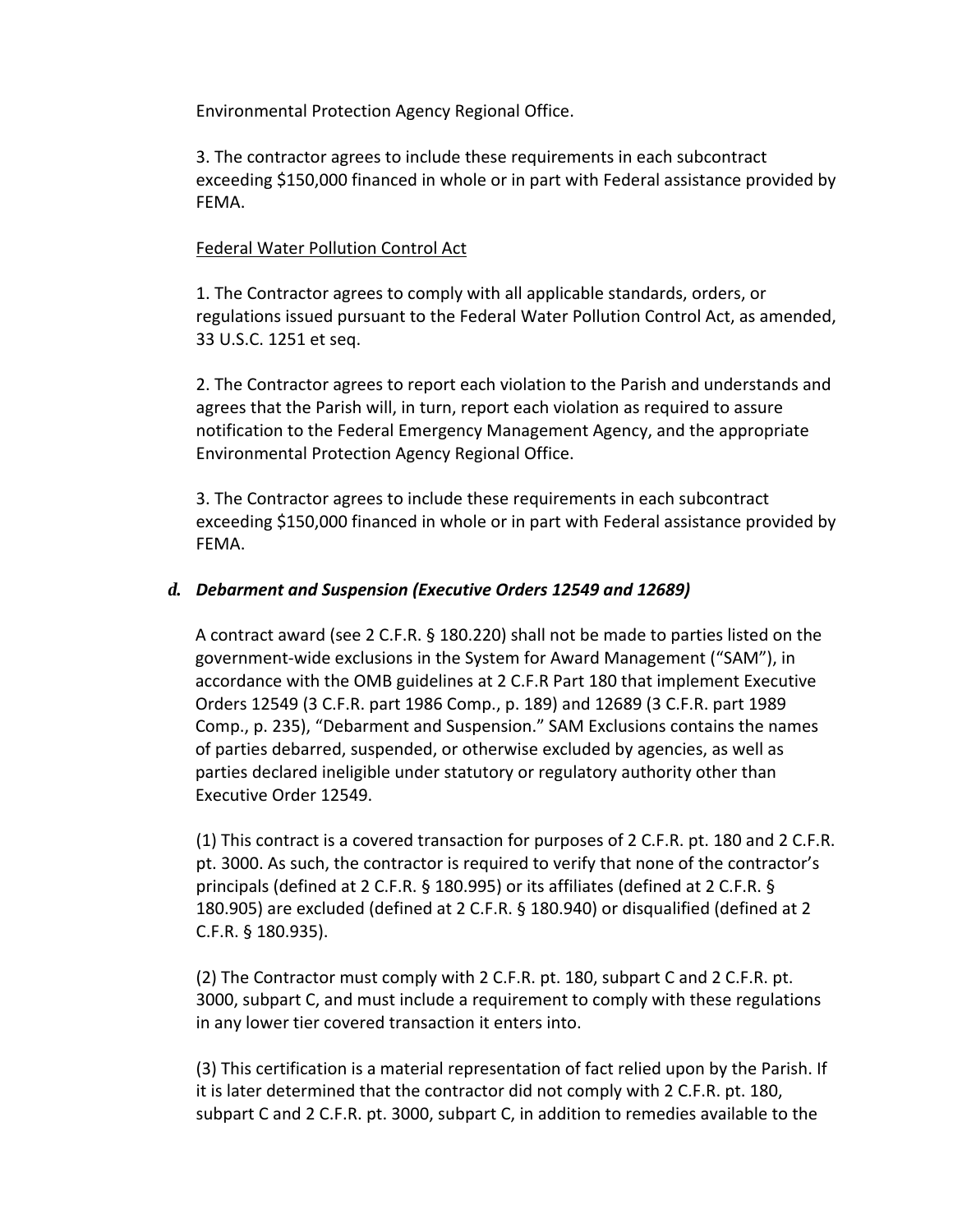Environmental Protection Agency Regional Office.

3. The contractor agrees to include these requirements in each subcontract exceeding \$150,000 financed in whole or in part with Federal assistance provided by FEMA.

### Federal Water Pollution Control Act

1. The Contractor agrees to comply with all applicable standards, orders, or regulations issued pursuant to the Federal Water Pollution Control Act, as amended, 33 U.S.C. 1251 et seq.

2. The Contractor agrees to report each violation to the Parish and understands and agrees that the Parish will, in turn, report each violation as required to assure notification to the Federal Emergency Management Agency, and the appropriate Environmental Protection Agency Regional Office.

3. The Contractor agrees to include these requirements in each subcontract exceeding \$150,000 financed in whole or in part with Federal assistance provided by FEMA.

## *d. Debarment and Suspension (Executive Orders 12549 and 12689)*

A contract award (see 2 C.F.R. § 180.220) shall not be made to parties listed on the government-wide exclusions in the System for Award Management ("SAM"), in accordance with the OMB guidelines at 2 C.F.R Part 180 that implement Executive Orders 12549 (3 C.F.R. part 1986 Comp., p. 189) and 12689 (3 C.F.R. part 1989 Comp., p. 235), "Debarment and Suspension." SAM Exclusions contains the names of parties debarred, suspended, or otherwise excluded by agencies, as well as parties declared ineligible under statutory or regulatory authority other than Executive Order 12549.

(1) This contract is a covered transaction for purposes of 2 C.F.R. pt. 180 and 2 C.F.R. pt. 3000. As such, the contractor is required to verify that none of the contractor's principals (defined at 2 C.F.R. § 180.995) or its affiliates (defined at 2 C.F.R. § 180.905) are excluded (defined at 2 C.F.R. § 180.940) or disqualified (defined at 2 C.F.R. § 180.935).

(2) The Contractor must comply with 2 C.F.R. pt. 180, subpart C and 2 C.F.R. pt. 3000, subpart C, and must include a requirement to comply with these regulations in any lower tier covered transaction it enters into.

(3) This certification is a material representation of fact relied upon by the Parish. If it is later determined that the contractor did not comply with 2 C.F.R. pt. 180, subpart C and 2 C.F.R. pt. 3000, subpart C, in addition to remedies available to the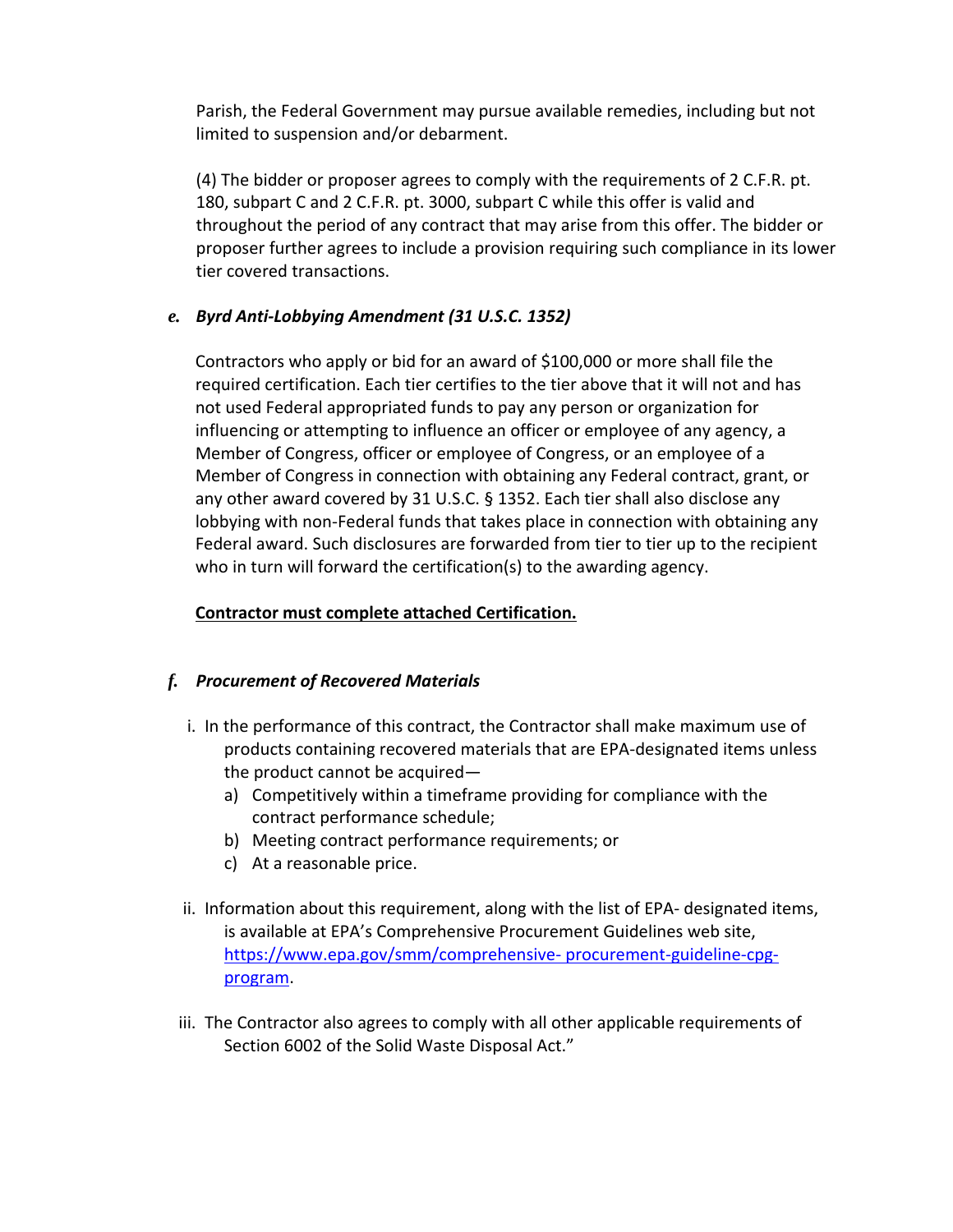Parish, the Federal Government may pursue available remedies, including but not limited to suspension and/or debarment.

(4) The bidder or proposer agrees to comply with the requirements of 2 C.F.R. pt. 180, subpart C and 2 C.F.R. pt. 3000, subpart C while this offer is valid and throughout the period of any contract that may arise from this offer. The bidder or proposer further agrees to include a provision requiring such compliance in its lower tier covered transactions.

### *e. Byrd Anti-Lobbying Amendment (31 U.S.C. 1352)*

Contractors who apply or bid for an award of \$100,000 or more shall file the required certification. Each tier certifies to the tier above that it will not and has not used Federal appropriated funds to pay any person or organization for influencing or attempting to influence an officer or employee of any agency, a Member of Congress, officer or employee of Congress, or an employee of a Member of Congress in connection with obtaining any Federal contract, grant, or any other award covered by 31 U.S.C. § 1352. Each tier shall also disclose any lobbying with non-Federal funds that takes place in connection with obtaining any Federal award. Such disclosures are forwarded from tier to tier up to the recipient who in turn will forward the certification(s) to the awarding agency.

### **Contractor must complete attached Certification.**

#### *f. Procurement of Recovered Materials*

- i. In the performance of this contract, the Contractor shall make maximum use of products containing recovered materials that are EPA-designated items unless the product cannot be acquired
	- a) Competitively within a timeframe providing for compliance with the contract performance schedule;
	- b) Meeting contract performance requirements; or
	- c) At a reasonable price.
- ii. Information about this requirement, along with the list of EPA- designated items, is available at EPA's Comprehensive Procurement Guidelines web site, [https://www.epa.gov/smm/comprehensive-](https://www.epa.gov/smm/comprehensive-%20procurement-guideline-cpg-program) procurement-guideline-cpg[program.](https://www.epa.gov/smm/comprehensive-%20procurement-guideline-cpg-program)
- iii. The Contractor also agrees to comply with all other applicable requirements of Section 6002 of the Solid Waste Disposal Act."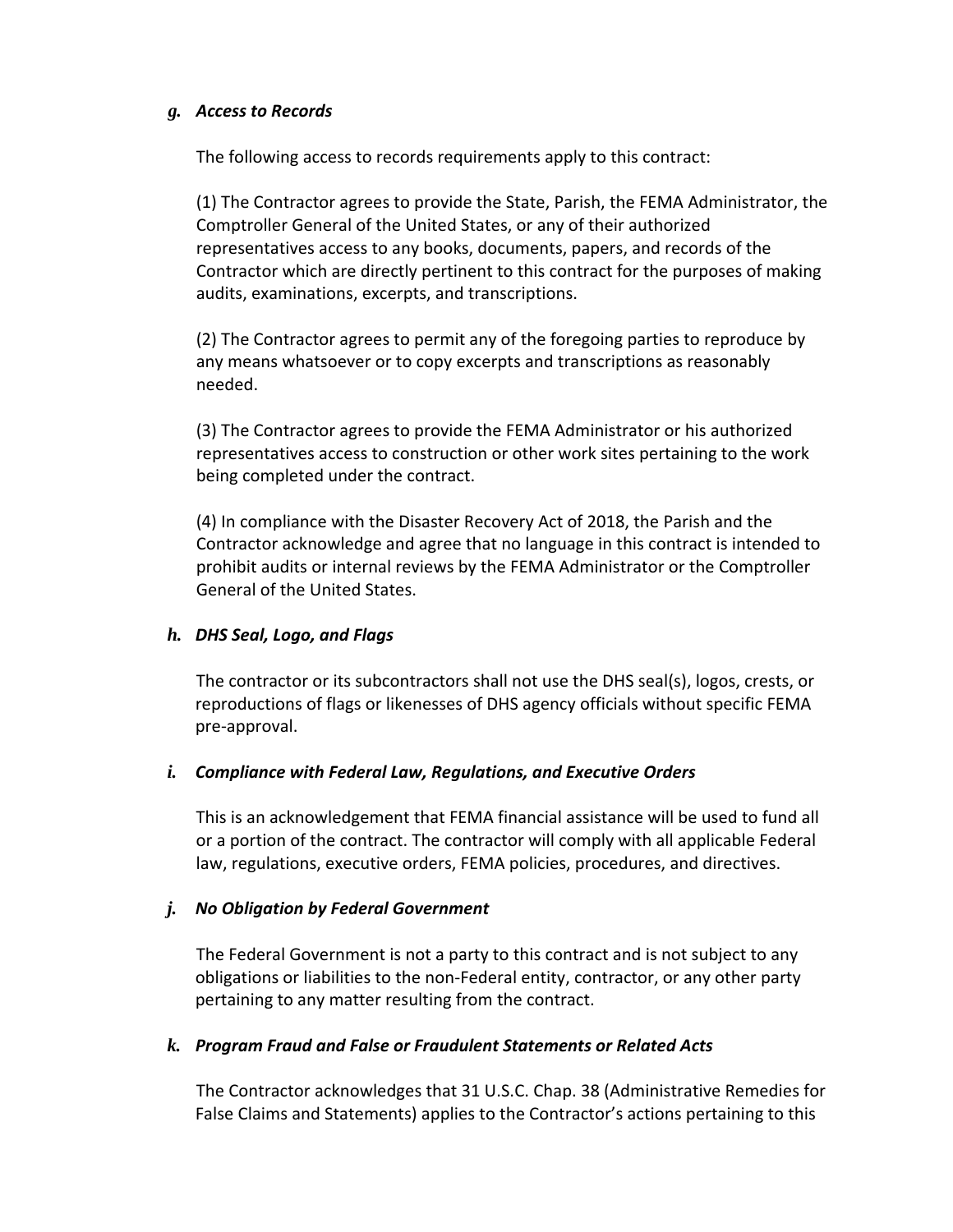#### *g. Access to Records*

The following access to records requirements apply to this contract:

(1) The Contractor agrees to provide the State, Parish, the FEMA Administrator, the Comptroller General of the United States, or any of their authorized representatives access to any books, documents, papers, and records of the Contractor which are directly pertinent to this contract for the purposes of making audits, examinations, excerpts, and transcriptions.

(2) The Contractor agrees to permit any of the foregoing parties to reproduce by any means whatsoever or to copy excerpts and transcriptions as reasonably needed.

(3) The Contractor agrees to provide the FEMA Administrator or his authorized representatives access to construction or other work sites pertaining to the work being completed under the contract.

(4) In compliance with the Disaster Recovery Act of 2018, the Parish and the Contractor acknowledge and agree that no language in this contract is intended to prohibit audits or internal reviews by the FEMA Administrator or the Comptroller General of the United States.

#### *h. DHS Seal, Logo, and Flags*

The contractor or its subcontractors shall not use the DHS seal(s), logos, crests, or reproductions of flags or likenesses of DHS agency officials without specific FEMA pre-approval.

#### *i. Compliance with Federal Law, Regulations, and Executive Orders*

This is an acknowledgement that FEMA financial assistance will be used to fund all or a portion of the contract. The contractor will comply with all applicable Federal law, regulations, executive orders, FEMA policies, procedures, and directives.

#### *j. No Obligation by Federal Government*

The Federal Government is not a party to this contract and is not subject to any obligations or liabilities to the non-Federal entity, contractor, or any other party pertaining to any matter resulting from the contract.

#### *k. Program Fraud and False or Fraudulent Statements or Related Acts*

The Contractor acknowledges that 31 U.S.C. Chap. 38 (Administrative Remedies for False Claims and Statements) applies to the Contractor's actions pertaining to this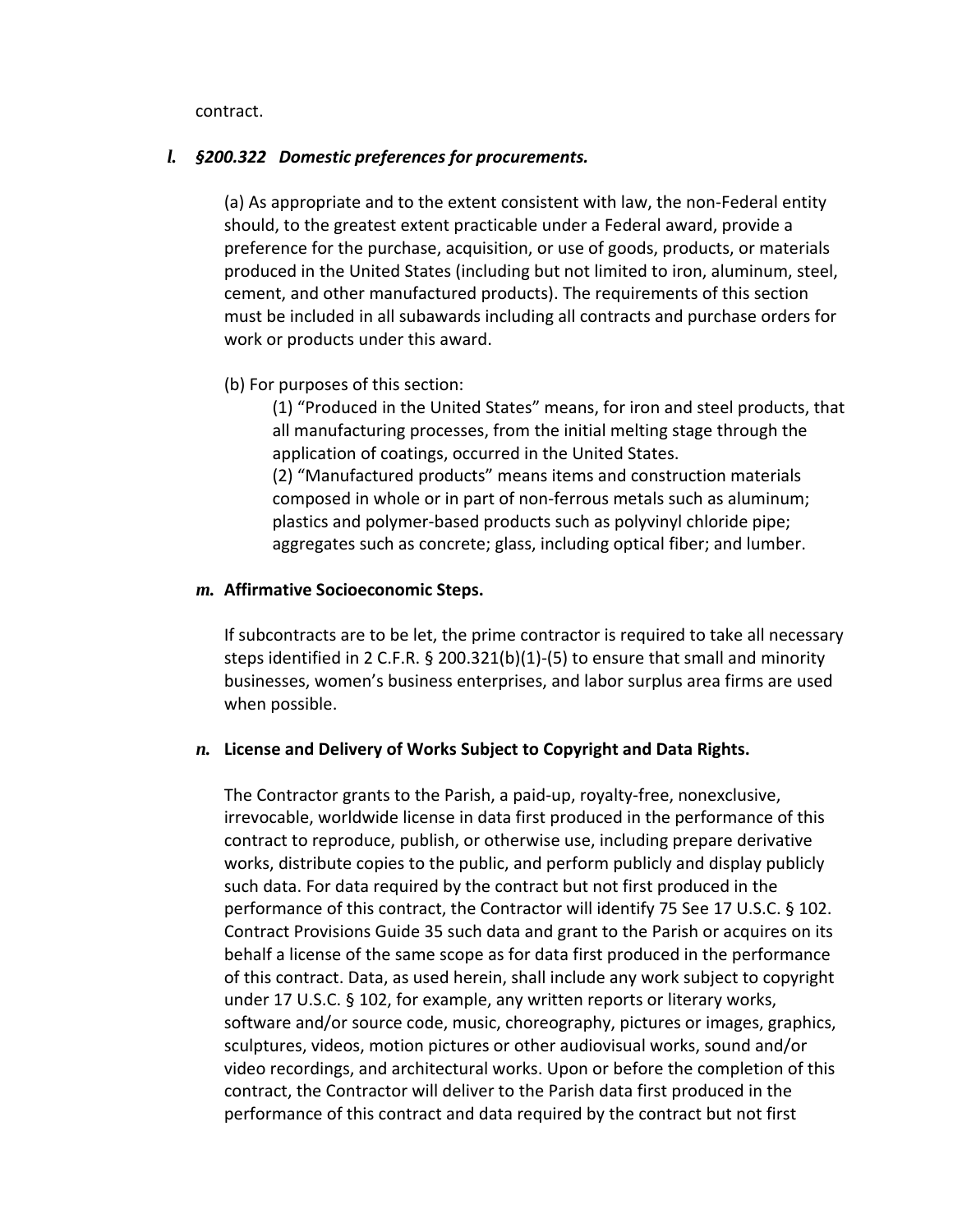contract.

#### *l. §200.322 Domestic preferences for procurements.*

(a) As appropriate and to the extent consistent with law, the non-Federal entity should, to the greatest extent practicable under a Federal award, provide a preference for the purchase, acquisition, or use of goods, products, or materials produced in the United States (including but not limited to iron, aluminum, steel, cement, and other manufactured products). The requirements of this section must be included in all subawards including all contracts and purchase orders for work or products under this award.

#### (b) For purposes of this section:

(1) "Produced in the United States" means, for iron and steel products, that all manufacturing processes, from the initial melting stage through the application of coatings, occurred in the United States.

(2) "Manufactured products" means items and construction materials composed in whole or in part of non-ferrous metals such as aluminum; plastics and polymer-based products such as polyvinyl chloride pipe; aggregates such as concrete; glass, including optical fiber; and lumber.

#### *m.* **Affirmative Socioeconomic Steps.**

If subcontracts are to be let, the prime contractor is required to take all necessary steps identified in 2 C.F.R. § 200.321(b)(1)-(5) to ensure that small and minority businesses, women's business enterprises, and labor surplus area firms are used when possible.

#### *n.* **License and Delivery of Works Subject to Copyright and Data Rights.**

The Contractor grants to the Parish, a paid-up, royalty-free, nonexclusive, irrevocable, worldwide license in data first produced in the performance of this contract to reproduce, publish, or otherwise use, including prepare derivative works, distribute copies to the public, and perform publicly and display publicly such data. For data required by the contract but not first produced in the performance of this contract, the Contractor will identify 75 See 17 U.S.C. § 102. Contract Provisions Guide 35 such data and grant to the Parish or acquires on its behalf a license of the same scope as for data first produced in the performance of this contract. Data, as used herein, shall include any work subject to copyright under 17 U.S.C. § 102, for example, any written reports or literary works, software and/or source code, music, choreography, pictures or images, graphics, sculptures, videos, motion pictures or other audiovisual works, sound and/or video recordings, and architectural works. Upon or before the completion of this contract, the Contractor will deliver to the Parish data first produced in the performance of this contract and data required by the contract but not first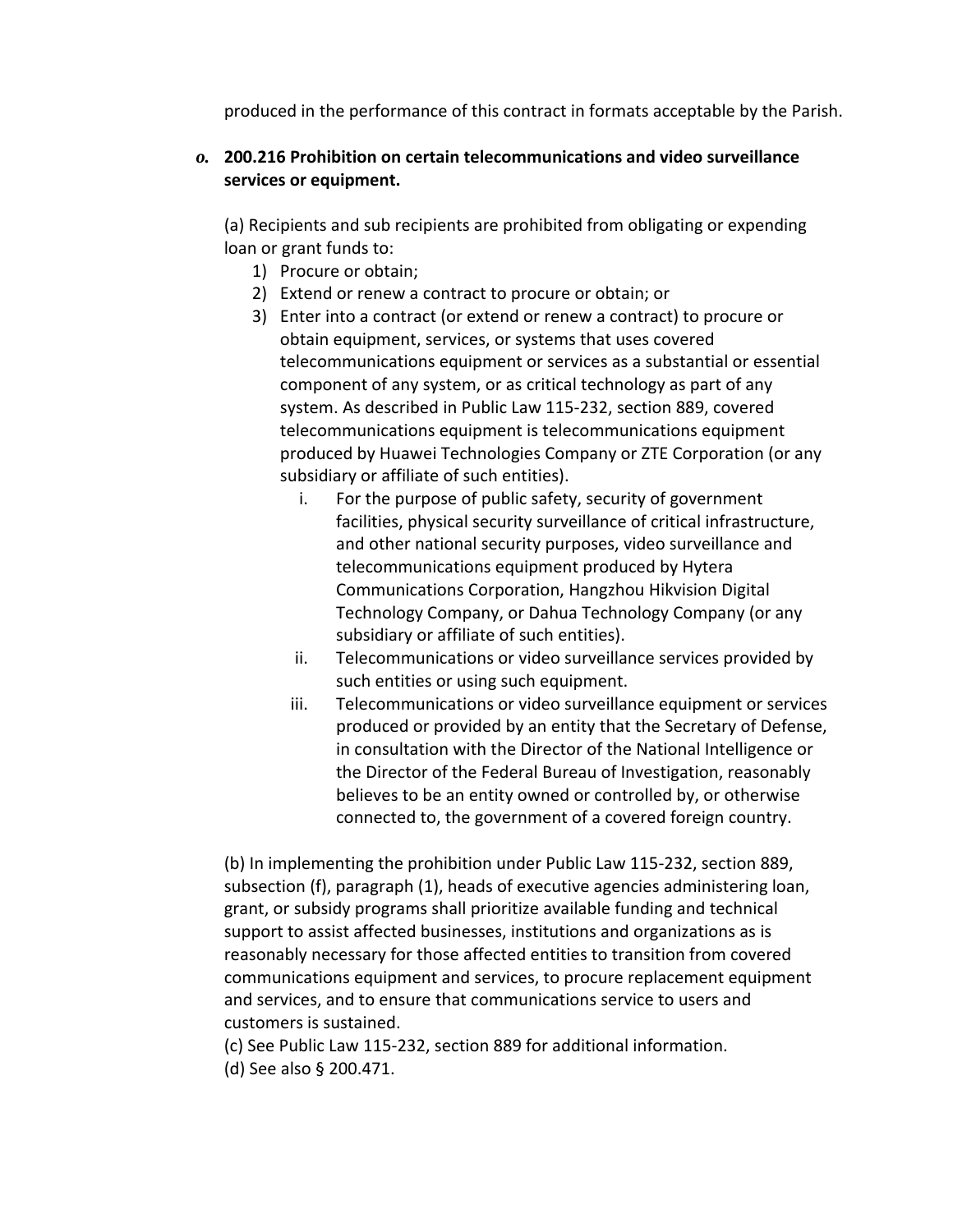produced in the performance of this contract in formats acceptable by the Parish.

### *o.* **200.216 Prohibition on certain telecommunications and video surveillance services or equipment.**

(a) Recipients and sub recipients are prohibited from obligating or expending loan or grant funds to:

- 1) Procure or obtain;
- 2) Extend or renew a contract to procure or obtain; or
- 3) Enter into a contract (or extend or renew a contract) to procure or obtain equipment, services, or systems that uses covered telecommunications equipment or services as a substantial or essential component of any system, or as critical technology as part of any system. As described in Public Law 115-232, section 889, covered telecommunications equipment is telecommunications equipment produced by Huawei Technologies Company or ZTE Corporation (or any subsidiary or affiliate of such entities).
	- i. For the purpose of public safety, security of government facilities, physical security surveillance of critical infrastructure, and other national security purposes, video surveillance and telecommunications equipment produced by Hytera Communications Corporation, Hangzhou Hikvision Digital Technology Company, or Dahua Technology Company (or any subsidiary or affiliate of such entities).
	- ii. Telecommunications or video surveillance services provided by such entities or using such equipment.
	- iii. Telecommunications or video surveillance equipment or services produced or provided by an entity that the Secretary of Defense, in consultation with the Director of the National Intelligence or the Director of the Federal Bureau of Investigation, reasonably believes to be an entity owned or controlled by, or otherwise connected to, the government of a covered foreign country.

(b) In implementing the prohibition under Public Law 115-232, section 889, subsection (f), paragraph (1), heads of executive agencies administering loan, grant, or subsidy programs shall prioritize available funding and technical support to assist affected businesses, institutions and organizations as is reasonably necessary for those affected entities to transition from covered communications equipment and services, to procure replacement equipment and services, and to ensure that communications service to users and customers is sustained.

(c) See Public Law 115-232, section 889 for additional information.

(d) See also § 200.471.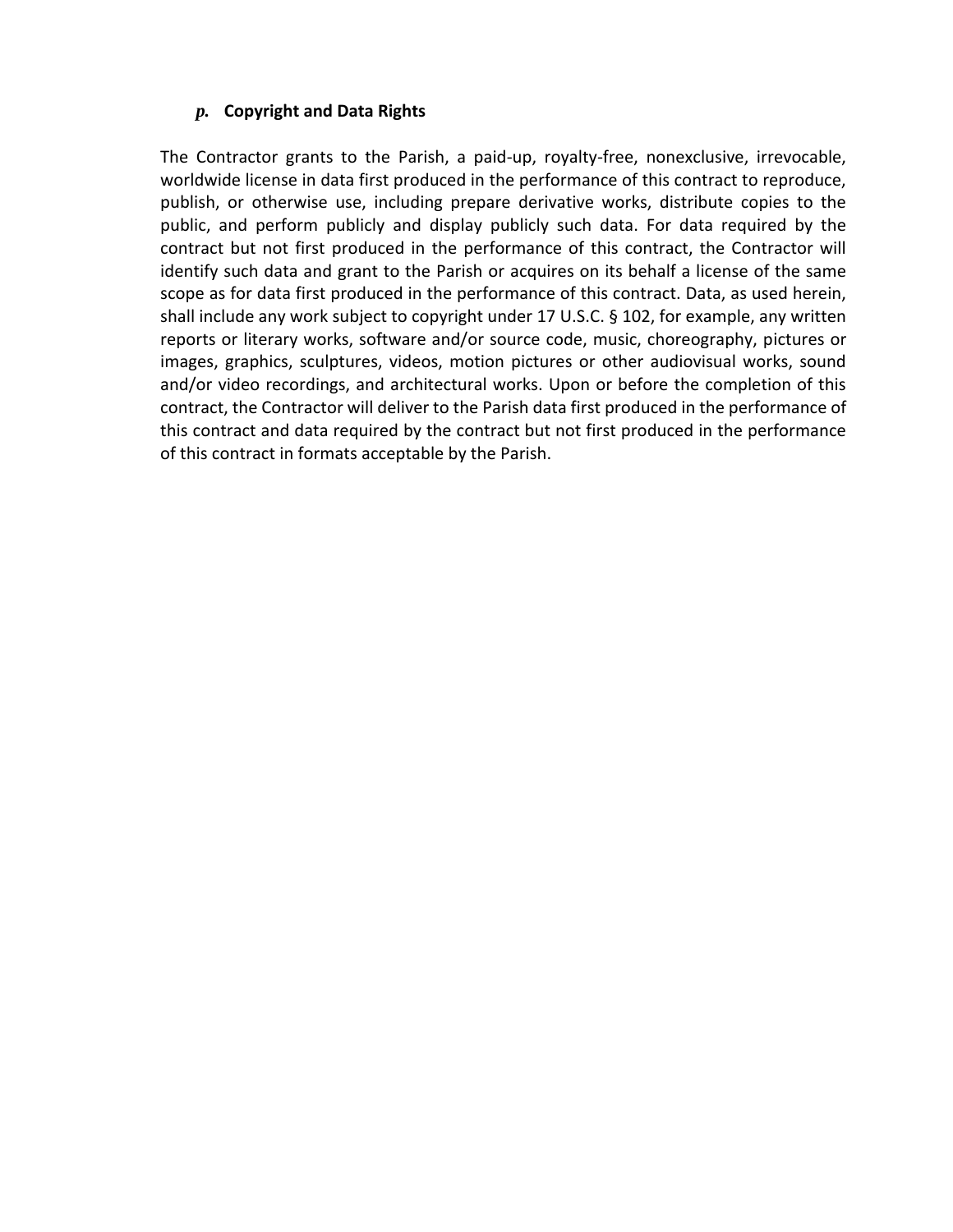## *p.* **Copyright and Data Rights**

The Contractor grants to the Parish, a paid-up, royalty-free, nonexclusive, irrevocable, worldwide license in data first produced in the performance of this contract to reproduce, publish, or otherwise use, including prepare derivative works, distribute copies to the public, and perform publicly and display publicly such data. For data required by the contract but not first produced in the performance of this contract, the Contractor will identify such data and grant to the Parish or acquires on its behalf a license of the same scope as for data first produced in the performance of this contract. Data, as used herein, shall include any work subject to copyright under 17 U.S.C. § 102, for example, any written reports or literary works, software and/or source code, music, choreography, pictures or images, graphics, sculptures, videos, motion pictures or other audiovisual works, sound and/or video recordings, and architectural works. Upon or before the completion of this contract, the Contractor will deliver to the Parish data first produced in the performance of this contract and data required by the contract but not first produced in the performance of this contract in formats acceptable by the Parish.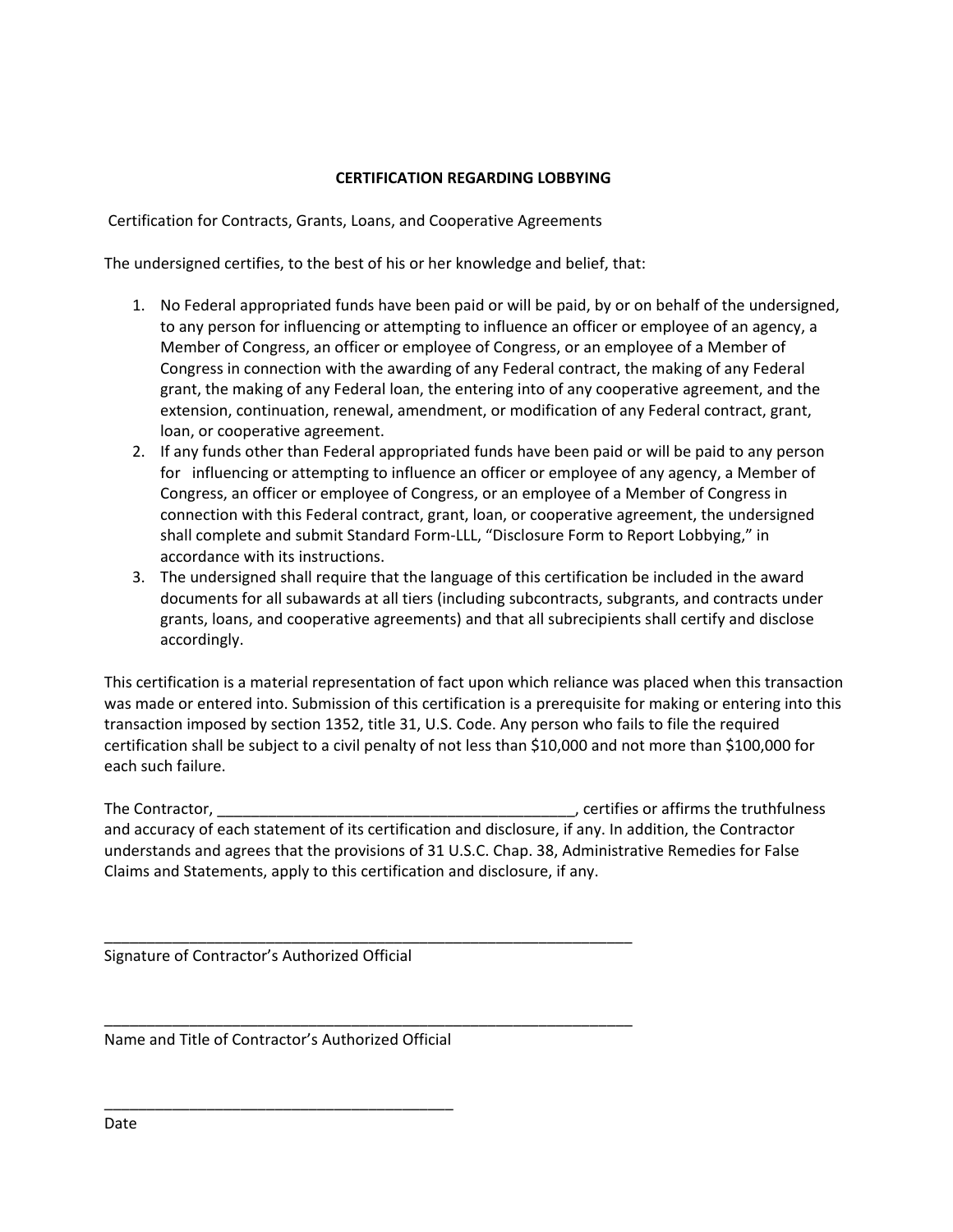#### **CERTIFICATION REGARDING LOBBYING**

Certification for Contracts, Grants, Loans, and Cooperative Agreements

The undersigned certifies, to the best of his or her knowledge and belief, that:

- 1. No Federal appropriated funds have been paid or will be paid, by or on behalf of the undersigned, to any person for influencing or attempting to influence an officer or employee of an agency, a Member of Congress, an officer or employee of Congress, or an employee of a Member of Congress in connection with the awarding of any Federal contract, the making of any Federal grant, the making of any Federal loan, the entering into of any cooperative agreement, and the extension, continuation, renewal, amendment, or modification of any Federal contract, grant, loan, or cooperative agreement.
- 2. If any funds other than Federal appropriated funds have been paid or will be paid to any person for influencing or attempting to influence an officer or employee of any agency, a Member of Congress, an officer or employee of Congress, or an employee of a Member of Congress in connection with this Federal contract, grant, loan, or cooperative agreement, the undersigned shall complete and submit Standard Form-LLL, "Disclosure Form to Report Lobbying," in accordance with its instructions.
- 3. The undersigned shall require that the language of this certification be included in the award documents for all subawards at all tiers (including subcontracts, subgrants, and contracts under grants, loans, and cooperative agreements) and that all subrecipients shall certify and disclose accordingly.

This certification is a material representation of fact upon which reliance was placed when this transaction was made or entered into. Submission of this certification is a prerequisite for making or entering into this transaction imposed by section 1352, title 31, U.S. Code. Any person who fails to file the required certification shall be subject to a civil penalty of not less than \$10,000 and not more than \$100,000 for each such failure.

The Contractor, **Exercise 2** and the Contractor, **Exercise 2 and the Contractor**,  $\overline{a}$ , certifies or affirms the truthfulness and accuracy of each statement of its certification and disclosure, if any. In addition, the Contractor understands and agrees that the provisions of 31 U.S.C. Chap. 38, Administrative Remedies for False Claims and Statements, apply to this certification and disclosure, if any.

Signature of Contractor's Authorized Official

Name and Title of Contractor's Authorized Official

\_\_\_\_\_\_\_\_\_\_\_\_\_\_\_\_\_\_\_\_\_\_\_\_\_\_\_\_\_\_\_\_\_\_\_\_\_\_\_\_\_

\_\_\_\_\_\_\_\_\_\_\_\_\_\_\_\_\_\_\_\_\_\_\_\_\_\_\_\_\_\_\_\_\_\_\_\_\_\_\_\_\_\_\_\_\_\_\_\_\_\_\_\_\_\_\_\_\_\_\_\_\_\_

\_\_\_\_\_\_\_\_\_\_\_\_\_\_\_\_\_\_\_\_\_\_\_\_\_\_\_\_\_\_\_\_\_\_\_\_\_\_\_\_\_\_\_\_\_\_\_\_\_\_\_\_\_\_\_\_\_\_\_\_\_\_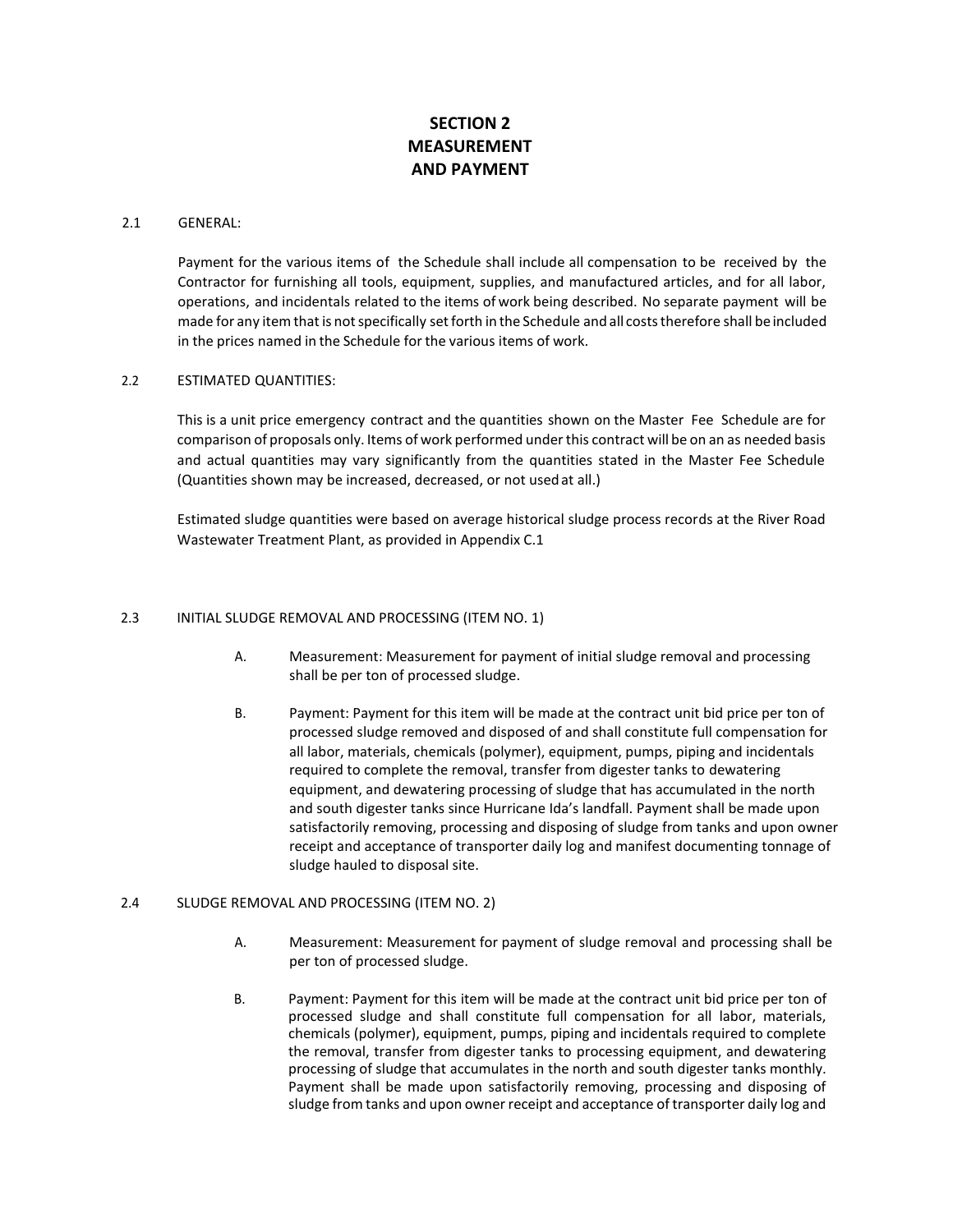## **SECTION 2 MEASUREMENT AND PAYMENT**

#### 2.1 GENERAL:

Payment for the various items of the Schedule shall include all compensation to be received by the Contractor for furnishing all tools, equipment, supplies, and manufactured articles, and for all labor, operations, and incidentals related to the items of work being described. No separate payment will be made for any item that is not specifically set forth in the Schedule and all costs therefore shall be included in the prices named in the Schedule for the various items of work.

#### 2.2 ESTIMATED QUANTITIES:

This is a unit price emergency contract and the quantities shown on the Master Fee Schedule are for comparison of proposals only. Items of work performed under this contract will be on an as needed basis and actual quantities may vary significantly from the quantities stated in the Master Fee Schedule (Quantities shown may be increased, decreased, or not usedat all.)

Estimated sludge quantities were based on average historical sludge process records at the River Road Wastewater Treatment Plant, as provided in Appendix C.1

#### 2.3 INITIAL SLUDGE REMOVAL AND PROCESSING (ITEM NO. 1)

- A. Measurement: Measurement for payment of initial sludge removal and processing shall be per ton of processed sludge.
- B. Payment: Payment for this item will be made at the contract unit bid price per ton of processed sludge removed and disposed of and shall constitute full compensation for all labor, materials, chemicals (polymer), equipment, pumps, piping and incidentals required to complete the removal, transfer from digester tanks to dewatering equipment, and dewatering processing of sludge that has accumulated in the north and south digester tanks since Hurricane Ida's landfall. Payment shall be made upon satisfactorily removing, processing and disposing of sludge from tanks and upon owner receipt and acceptance of transporter daily log and manifest documenting tonnage of sludge hauled to disposal site.

#### 2.4 SLUDGE REMOVAL AND PROCESSING (ITEM NO. 2)

- A. Measurement: Measurement for payment of sludge removal and processing shall be per ton of processed sludge.
- B. Payment: Payment for this item will be made at the contract unit bid price per ton of processed sludge and shall constitute full compensation for all labor, materials, chemicals (polymer), equipment, pumps, piping and incidentals required to complete the removal, transfer from digester tanks to processing equipment, and dewatering processing of sludge that accumulates in the north and south digester tanks monthly. Payment shall be made upon satisfactorily removing, processing and disposing of sludge from tanks and upon owner receipt and acceptance of transporter daily log and